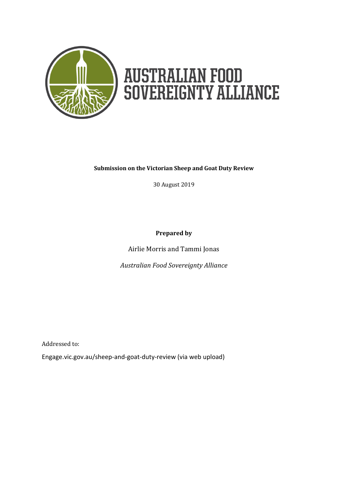

# **AUSTRALIAN FOOD<br>SOVEREIGNTY ALLIANCE**

#### **Submission on the Victorian Sheep and Goat Duty Review**

30 August 2019

**Prepared by**

Airlie Morris and Tammi Jonas

*Australian Food Sovereignty Alliance*

Addressed to:

Engage.vic.gov.au/sheep-and-goat-duty-review (via web upload)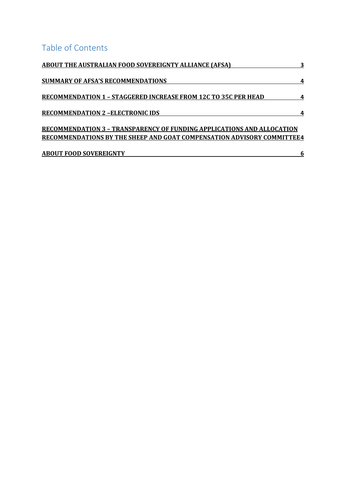## Table of Contents

| <b>ABOUT THE AUSTRALIAN FOOD SOVEREIGNTY ALLIANCE (AFSA)</b>                  |   |
|-------------------------------------------------------------------------------|---|
| <b>SUMMARY OF AFSA'S RECOMMENDATIONS</b>                                      | 4 |
| <b>RECOMMENDATION 1 - STAGGERED INCREASE FROM 12C TO 35C PER HEAD</b>         | 4 |
| <b>RECOMMENDATION 2-ELECTRONIC IDS</b>                                        |   |
| <b>RECOMMENDATION 3 - TRANSPARENCY OF FUNDING APPLICATIONS AND ALLOCATION</b> |   |
| RECOMMENDATIONS BY THE SHEEP AND GOAT COMPENSATION ADVISORY COMMITTEE4        |   |

| <b>ABOUT FOOD SOVEREIGNTY</b> |  |
|-------------------------------|--|
|                               |  |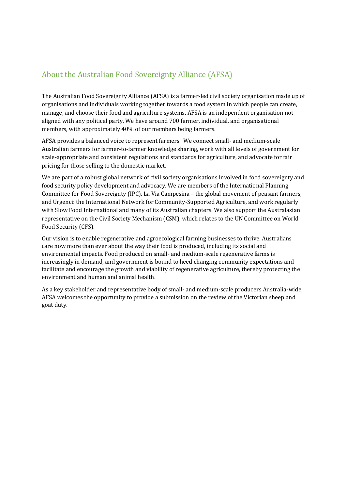#### <span id="page-2-0"></span>About the Australian Food Sovereignty Alliance (AFSA)

The Australian Food Sovereignty Alliance (AFSA) is a farmer-led civil society organisation made up of organisations and individuals working together towards a food system in which people can create, manage, and choose their food and agriculture systems. AFSA is an independent organisation not aligned with any political party. We have around 700 farmer, individual, and organisational members, with approximately 40% of our members being farmers.

AFSA provides a balanced voice to represent farmers. We connect small- and medium-scale Australian farmers for farmer-to-farmer knowledge sharing, work with all levels of government for scale-appropriate and consistent regulations and standards for agriculture, and advocate for fair pricing for those selling to the domestic market.

We are part of a robust global network of civil society organisations involved in food sovereignty and food security policy development and advocacy. We are members of the International Planning Committee for Food Sovereignty (IPC), La Via Campesina – the global movement of peasant farmers, and Urgenci: the International Network for Community-Supported Agriculture, and work regularly with Slow Food International and many of its Australian chapters. We also support the Australasian representative on the Civil Society Mechanism (CSM), which relates to the UN Committee on World Food Security (CFS).

Our vision is to enable regenerative and agroecological farming businesses to thrive. Australians care now more than ever about the way their food is produced, including its social and environmental impacts. Food produced on small- and medium-scale regenerative farms is increasingly in demand, and government is bound to heed changing community expectations and facilitate and encourage the growth and viability of regenerative agriculture, thereby protecting the environment and human and animal health.

As a key stakeholder and representative body of small- and medium-scale producers Australia-wide, AFSA welcomes the opportunity to provide a submission on the review of the Victorian sheep and goat duty.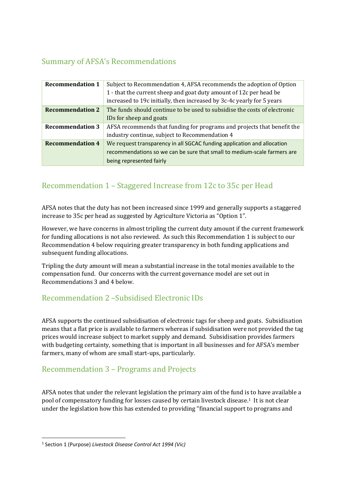#### <span id="page-3-0"></span>Summary of AFSA's Recommendations

| <b>Recommendation 1</b> | Subject to Recommendation 4, AFSA recommends the adoption of Option<br>1 - that the current sheep and goat duty amount of 12c per head be<br>increased to 19c initially, then increased by 3c-4c yearly for 5 years |
|-------------------------|---------------------------------------------------------------------------------------------------------------------------------------------------------------------------------------------------------------------|
| <b>Recommendation 2</b> | The funds should continue to be used to subsidise the costs of electronic<br>IDs for sheep and goats                                                                                                                |
| <b>Recommendation 3</b> | AFSA recommends that funding for programs and projects that benefit the<br>industry continue, subject to Recommendation 4                                                                                           |
| <b>Recommendation 4</b> | We request transparency in all SGCAC funding application and allocation<br>recommendations so we can be sure that small to medium-scale farmers are<br>being represented fairly                                     |

#### <span id="page-3-1"></span>Recommendation 1 – Staggered Increase from 12c to 35c per Head

AFSA notes that the duty has not been increased since 1999 and generally supports a staggered increase to 35c per head as suggested by Agriculture Victoria as "Option 1".

However, we have concerns in almost tripling the current duty amount if the current framework for funding allocations is not also reviewed. As such this Recommendation 1 is subject to our Recommendation 4 below requiring greater transparency in both funding applications and subsequent funding allocations.

Tripling the duty amount will mean a substantial increase in the total monies available to the compensation fund. Our concerns with the current governance model are set out in Recommendations 3 and 4 below.

#### <span id="page-3-2"></span>Recommendation 2 –Subsidised Electronic IDs

AFSA supports the continued subsidisation of electronic tags for sheep and goats. Subsidisation means that a flat price is available to farmers whereas if subsidisation were not provided the tag prices would increase subject to market supply and demand. Subsidisation provides farmers with budgeting certainty, something that is important in all businesses and for AFSA's member farmers, many of whom are small start-ups, particularly.

#### <span id="page-3-3"></span>Recommendation 3 – Programs and Projects

AFSA notes that under the relevant legislation the primary aim of the fund is to have available a pool of compensatory funding for losses caused by certain livestock disease.<sup>1</sup> It is not clear under the legislation how this has extended to providing "financial support to programs and

**<sup>.</sup>** 1 Section 1 (Purpose) *Livestock Disease Control Act 1994 (Vic)*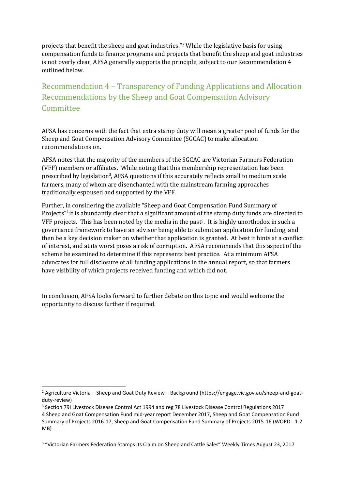projects that benefit the sheep and goat industries."<sup>2</sup> While the legislative basis for using compensation funds to finance programs and projects that benefit the sheep and goat industries is not overly clear, AFSA generally supports the principle, subject to our Recommendation 4 outlined below.

### Recommendation 4 – Transparency of Funding Applications and Allocation Recommendations by the Sheep and Goat Compensation Advisory **Committee**

AFSA has concerns with the fact that extra stamp duty will mean a greater pool of funds for the Sheep and Goat Compensation Advisory Committee (SGCAC) to make allocation recommendations on.

AFSA notes that the majority of the members of the SGCAC are Victorian Farmers Federation (VFF) members or affiliates. While noting that this membership representation has been prescribed by legislation<sup>3</sup>, AFSA questions if this accurately reflects small to medium scale farmers, many of whom are disenchanted with the mainstream farming approaches traditionally espoused and supported by the VFF.

Further, in considering the available "Sheep and Goat Compensation Fund Summary of Projects"<sup>4</sup> it is abundantly clear that a significant amount of the stamp duty funds are directed to VFF projects. This has been noted by the media in the past5. It is highly unorthodox in such a governance framework to have an advisor being able to submit an application for funding, and then be a key decision maker on whether that application is granted. At best it hints at a conflict of interest, and at its worst poses a risk of corruption. AFSA recommends that this aspect of the scheme be examined to determine if this represents best practice. At a minimum AFSA advocates for full disclosure of all funding applications in the annual report, so that farmers have visibility of which projects received funding and which did not.

In conclusion, AFSA looks forward to further debate on this topic and would welcome the opportunity to discuss further if required.

1

<sup>2</sup> Agriculture Victoria – Sheep and Goat Duty Review – Background [\(https://engage.vic.gov.au/sheep-and-goat](https://engage.vic.gov.au/sheep-and-goat-duty-review)[duty-review\)](https://engage.vic.gov.au/sheep-and-goat-duty-review)

<sup>3</sup> Section 79I Livestock Disease Control Act 1994 and reg 78 Livestock Disease Control Regulations 2017 4 [Sheep and Goat Compensation Fund mid-year report December 2017,](http://agriculture.vic.gov.au/__data/assets/word_doc/0003/380280/Mid-Year-SGCAC-Summary-of-Projects-2017-18-v0.1.docx) [Sheep and Goat Compensation Fund](http://agriculture.vic.gov.au/__data/assets/word_doc/0005/380282/SGCAC-Summary-of-Projects-2016-17-v1.0.docx)  [Summary of Projects 2016-17,](http://agriculture.vic.gov.au/__data/assets/word_doc/0005/380282/SGCAC-Summary-of-Projects-2016-17-v1.0.docx) [Sheep and Goat Compensation Fund Summary of Projects 2015-16 \(WORD -](http://agriculture.vic.gov.au/__data/assets/word_doc/0020/325253/Sheep-and-Goat-Compensation-Fund-Summary-of-Projects-2015-16.docx) 1.2 [MB\)](http://agriculture.vic.gov.au/__data/assets/word_doc/0020/325253/Sheep-and-Goat-Compensation-Fund-Summary-of-Projects-2015-16.docx)

<sup>&</sup>lt;sup>5</sup> "Victorian Farmers Federation Stamps its Claim on Sheep and Cattle Sales" Weekly Times August 23, 2017